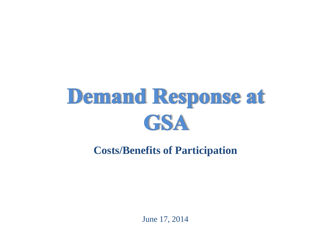# **Demand Response at GSA**

**Costs/Benefits of Participation**

June 17, 2014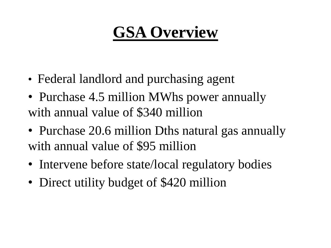# **GSA Overview**

- Federal landlord and purchasing agent
- Purchase 4.5 million MWhs power annually with annual value of \$340 million
- Purchase 20.6 million Dths natural gas annually with annual value of \$95 million
- Intervene before state/local regulatory bodies
- Direct utility budget of \$420 million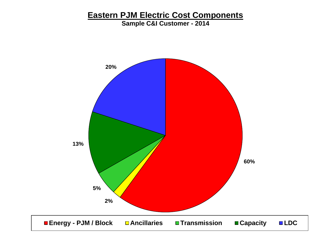#### **Eastern PJM Electric Cost Components**

**Sample C&I Customer - 2014**

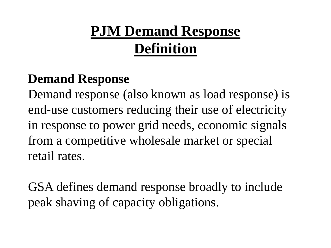## **PJM Demand Response Definition**

#### **Demand Response**

Demand response (also known as load response) is end-use customers reducing their use of electricity in response to power grid needs, economic signals from a competitive wholesale market or special retail rates.

GSA defines demand response broadly to include peak shaving of capacity obligations.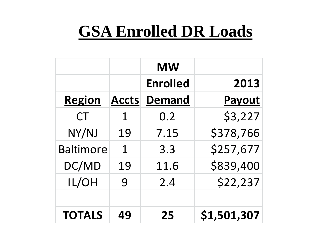# **GSA Enrolled DR Loads**

|                  |              | <b>MW</b>       |               |
|------------------|--------------|-----------------|---------------|
|                  |              | <b>Enrolled</b> | 2013          |
| <b>Region</b>    | <b>Accts</b> | <b>Demand</b>   | <b>Payout</b> |
| <b>CT</b>        | 1            | 0.2             | \$3,227       |
| NY/NJ            | 19           | 7.15            | \$378,766     |
| <b>Baltimore</b> | $\mathbf 1$  | 3.3             | \$257,677     |
| DC/MD            | 19           | 11.6            | \$839,400     |
| IL/OH            | 9            | 2.4             | \$22,237      |
|                  |              |                 |               |
| <b>TOTALS</b>    | 49           | 25              | \$1,501,307   |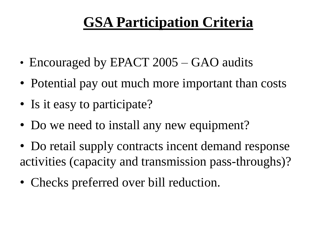### **GSA Participation Criteria**

- Encouraged by EPACT 2005 GAO audits
- Potential pay out much more important than costs
- Is it easy to participate?
- Do we need to install any new equipment?
- Do retail supply contracts incent demand response activities (capacity and transmission pass-throughs)?
- Checks preferred over bill reduction.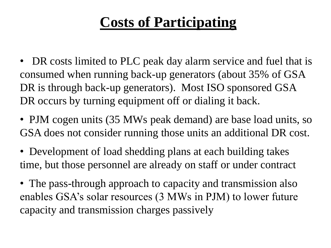### **Costs of Participating**

- DR costs limited to PLC peak day alarm service and fuel that is consumed when running back-up generators (about 35% of GSA DR is through back-up generators). Most ISO sponsored GSA DR occurs by turning equipment off or dialing it back.
- PJM cogen units (35 MWs peak demand) are base load units, so GSA does not consider running those units an additional DR cost.
- Development of load shedding plans at each building takes time, but those personnel are already on staff or under contract
- The pass-through approach to capacity and transmission also enables GSA's solar resources (3 MWs in PJM) to lower future capacity and transmission charges passively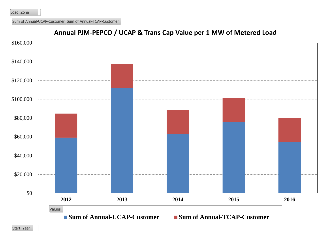Sum of Annual-UCAP-Customer Sum of Annual-TCAP-Customer



#### **Annual PJM-PEPCO / UCAP & Trans Cap Value per 1 MW of Metered Load**

Start\_Year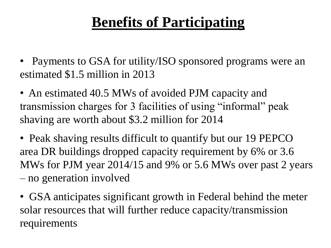### **Benefits of Participating**

- Payments to GSA for utility/ISO sponsored programs were an estimated \$1.5 million in 2013
- An estimated 40.5 MWs of avoided PJM capacity and transmission charges for 3 facilities of using "informal" peak shaving are worth about \$3.2 million for 2014
- Peak shaving results difficult to quantify but our 19 PEPCO area DR buildings dropped capacity requirement by 6% or 3.6 MWs for PJM year 2014/15 and 9% or 5.6 MWs over past 2 years – no generation involved
- GSA anticipates significant growth in Federal behind the meter solar resources that will further reduce capacity/transmission requirements